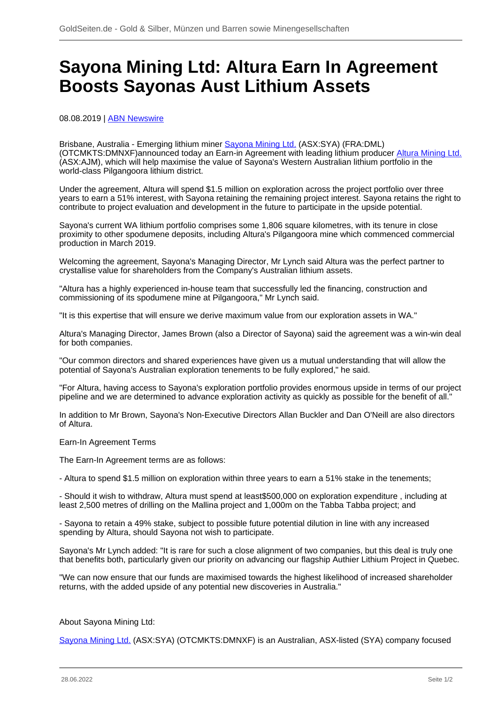## **Sayona Mining Ltd: Altura Earn In Agreement Boosts Sayonas Aust Lithium Assets**

08.08.2019 | [ABN Newswire](/profil/222--ABN-Newswire)

Brisbane, Australia - Emerging lithium miner [Sayona Mining Ltd.](/minen/2686--Sayona-Mining-Ltd) (ASX:SYA) (FRA:DML) (OTCMKTS:DMNXF)announced today an Earn-in Agreement with leading lithium producer [Altura Mining Ltd.](/minen/769--Altura-Mining-Ltd) (ASX:AJM), which will help maximise the value of Sayona's Western Australian lithium portfolio in the world-class Pilgangoora lithium district.

Under the agreement, Altura will spend \$1.5 million on exploration across the project portfolio over three years to earn a 51% interest, with Sayona retaining the remaining project interest. Sayona retains the right to contribute to project evaluation and development in the future to participate in the upside potential.

Sayona's current WA lithium portfolio comprises some 1,806 square kilometres, with its tenure in close proximity to other spodumene deposits, including Altura's Pilgangoora mine which commenced commercial production in March 2019.

Welcoming the agreement, Sayona's Managing Director, Mr Lynch said Altura was the perfect partner to crystallise value for shareholders from the Company's Australian lithium assets.

"Altura has a highly experienced in-house team that successfully led the financing, construction and commissioning of its spodumene mine at Pilgangoora," Mr Lynch said.

"It is this expertise that will ensure we derive maximum value from our exploration assets in WA."

Altura's Managing Director, James Brown (also a Director of Sayona) said the agreement was a win-win deal for both companies.

"Our common directors and shared experiences have given us a mutual understanding that will allow the potential of Sayona's Australian exploration tenements to be fully explored," he said.

"For Altura, having access to Sayona's exploration portfolio provides enormous upside in terms of our project pipeline and we are determined to advance exploration activity as quickly as possible for the benefit of all."

In addition to Mr Brown, Sayona's Non-Executive Directors Allan Buckler and Dan O'Neill are also directors of Altura.

## Earn-In Agreement Terms

The Earn-In Agreement terms are as follows:

- Altura to spend \$1.5 million on exploration within three years to earn a 51% stake in the tenements;

- Should it wish to withdraw, Altura must spend at least\$500,000 on exploration expenditure , including at least 2,500 metres of drilling on the Mallina project and 1,000m on the Tabba Tabba project; and

- Sayona to retain a 49% stake, subject to possible future potential dilution in line with any increased spending by Altura, should Sayona not wish to participate.

Sayona's Mr Lynch added: "It is rare for such a close alignment of two companies, but this deal is truly one that benefits both, particularly given our priority on advancing our flagship Authier Lithium Project in Quebec.

"We can now ensure that our funds are maximised towards the highest likelihood of increased shareholder returns, with the added upside of any potential new discoveries in Australia."

## About Sayona Mining Ltd:

[Sayona Mining Ltd.](/minen/2686--Sayona-Mining-Ltd) (ASX:SYA) (OTCMKTS:DMNXF) is an Australian, ASX-listed (SYA) company focused